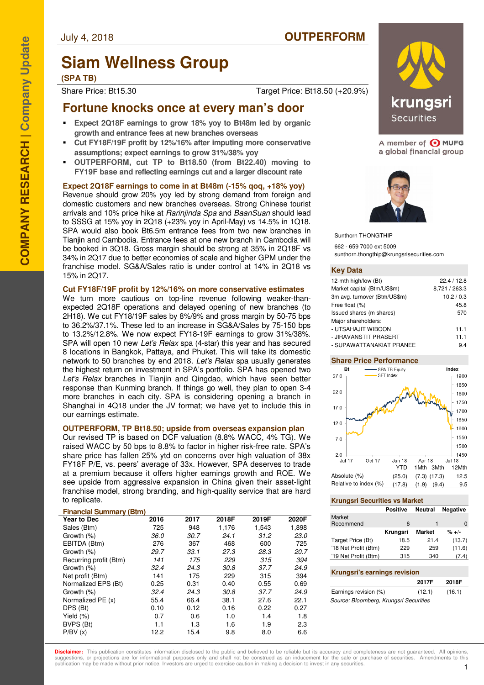# **Siam Wellness Group**

**(SPA TB)**

Share Price: Bt15.30 Target Price: Bt18.50 (+20.9%)

## **Fortune knocks once at every man's door**

- **Expect 2Q18F earnings to grow 18% yoy to Bt48m led by organic growth and entrance fees at new branches overseas**
- **Cut FY18F/19F profit by 12%/16% after imputing more conservative assumptions; expect earnings to grow 31%/38% yoy**
- **OUTPERFORM, cut TP to Bt18.50 (from Bt22.40) moving to FY19F base and reflecting earnings cut and a larger discount rate**

### **Expect 2Q18F earnings to come in at Bt48m (-15% qoq, +18% yoy)**

Revenue should grow 20% yoy led by strong demand from foreign and domestic customers and new branches overseas. Strong Chinese tourist arrivals and 10% price hike at Rarinjinda Spa and BaanSuan should lead to SSSG at 15% yoy in 2Q18 (+23% yoy in April-May) vs 14.5% in 1Q18. SPA would also book Bt6.5m entrance fees from two new branches in Tianjin and Cambodia. Entrance fees at one new branch in Cambodia will be booked in 3Q18. Gross margin should be strong at 35% in 2Q18F vs 34% in 2Q17 due to better economies of scale and higher GPM under the franchise model. SG&A/Sales ratio is under control at 14% in 2Q18 vs 15% in 2Q17.

### **Cut FY18F/19F profit by 12%/16% on more conservative estimates**

We turn more cautious on top-line revenue following weaker-thanexpected 2Q18F operations and delayed opening of new branches (to 2H18). We cut FY18/19F sales by 8%/9% and gross margin by 50-75 bps to 36.2%/37.1%. These led to an increase in SG&A/Sales by 75-150 bps to 13.2%/12.8%. We now expect FY18-19F earnings to grow 31%/38%. SPA will open 10 new Let's Relax spa (4-star) this year and has secured 8 locations in Bangkok, Pattaya, and Phuket. This will take its domestic network to 50 branches by end 2018. Let's Relax spa usually generates the highest return on investment in SPA's portfolio. SPA has opened two Let's Relax branches in Tianjin and Qingdao, which have seen better response than Kunming branch. If things go well, they plan to open 3-4 more branches in each city. SPA is considering opening a branch in Shanghai in 4Q18 under the JV format; we have yet to include this in our earnings estimate.

### **OUTPERFORM, TP Bt18.50; upside from overseas expansion plan**

Our revised TP is based on DCF valuation (8.8% WACC, 4% TG). We raised WACC by 50 bps to 8.8% to factor in higher risk-free rate. SPA's share price has fallen 25% ytd on concerns over high valuation of 38x FY18F P/E, vs. peers' average of 33x. However, SPA deserves to trade at a premium because it offers higher earnings growth and ROE. We see upside from aggressive expansion in China given their asset-light franchise model, strong branding, and high-quality service that are hard to replicate.

### **Financial Summary (Btm)**

| <b>Year to Dec</b>     | 2016 | 2017 | 2018F | 2019F | 2020F |
|------------------------|------|------|-------|-------|-------|
| Sales (Btm)            | 725  | 948  | 1.176 | 1,543 | 1,898 |
| Growth (%)             | 36.0 | 30.7 | 24.1  | 31.2  | 23.0  |
| EBITDA (Btm)           | 276  | 367  | 468   | 600   | 725   |
| Growth (%)             | 29.7 | 33.1 | 27.3  | 28.3  | 20.7  |
| Recurring profit (Btm) | 141  | 175  | 229   | 315   | 394   |
| Growth (%)             | 32.4 | 24.3 | 30.8  | 37.7  | 24.9  |
| Net profit (Btm)       | 141  | 175  | 229   | 315   | 394   |
| Normalized EPS (Bt)    | 0.25 | 0.31 | 0.40  | 0.55  | 0.69  |
| Growth (%)             | 32.4 | 24.3 | 30.8  | 37.7  | 24.9  |
| Normalized PE (x)      | 55.4 | 66.4 | 38.1  | 27.6  | 22.1  |
| DPS (Bt)               | 0.10 | 0.12 | 0.16  | 0.22  | 0.27  |
| Yield $(\%)$           | 0.7  | 0.6  | 1.0   | 1.4   | 1.8   |
| BVPS (Bt)              | 1.1  | 1.3  | 1.6   | 1.9   | 2.3   |
| P/BV(x)                | 12.2 | 15.4 | 9.8   | 8.0   | 6.6   |



A member of O MUFG a global financial group



Sunthorn THONGTHIP 662 - 659 7000 ext 5009 sunthorn.thongthip@krungsrisecurities.com

### **Key Data**

| 12-mth high/low (Bt)         | 22.4/12.8     |
|------------------------------|---------------|
| Market capital (Btm/US\$m)   | 8,721 / 263.3 |
| 3m avg. turnover (Btm/US\$m) | 10.2 / 0.3    |
| Free float (%)               | 45.8          |
| Issued shares (m shares)     | 570           |
| Major shareholders:          |               |
| - UTSAHAJIT WIBOON           | 11.1          |
| - JIRAVANSTIT PRASERT        | 11.1          |
| - SUPAWATTANAKIAT PRANEE     | 94            |

### **Share Price Performance**



### **Krungsri Securities vs Market**

|                      | <b>Positive</b> | Neutral       | <b>Negative</b> |
|----------------------|-----------------|---------------|-----------------|
| Market               |                 |               |                 |
| Recommend            | 6               | 1             |                 |
|                      | Krungsri        | <b>Market</b> | $% + -$         |
| Target Price (Bt)    | 18.5            | 21.4          | (13.7)          |
| '18 Net Profit (Btm) | 229             | 259           | (11.6)          |
| '19 Net Profit (Btm) | 315             | 340           | (7.4)           |
|                      |                 |               |                 |

### **Krungsri's earnings revision**

|                                        | 2017F  | 2018F  |
|----------------------------------------|--------|--------|
| Earnings revision (%)                  | (12.1) | (16.1) |
| Source: Bloomberg, Krungsri Securities |        |        |

**Disclaimer:** This publication constitutes information disclosed to the public and believed to be reliable but its accuracy and completeness are not quaranteed. All opinions suggestions, or projections are for informational purposes only and shall not be construed as an inducement for the sale or purchase of securities. Amendments to this publication may be made without prior notice. Investors are urged to exercise caution in making a decision to invest in any securities.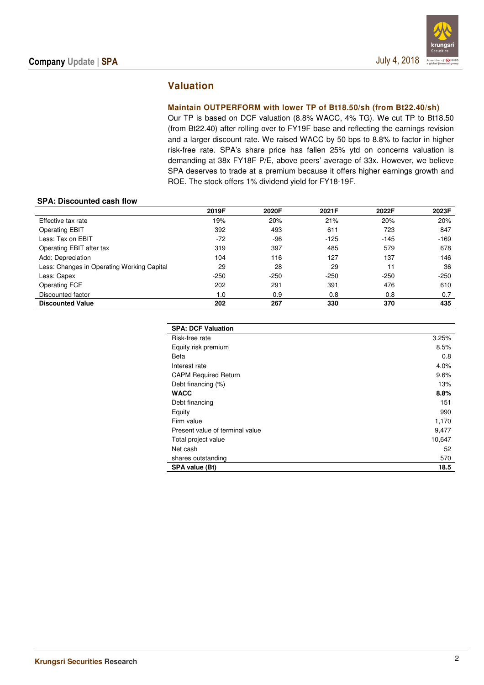### **Valuation**

### **Maintain OUTPERFORM with lower TP of Bt18.50/sh (from Bt22.40/sh)**

Our TP is based on DCF valuation (8.8% WACC, 4% TG). We cut TP to Bt18.50 (from Bt22.40) after rolling over to FY19F base and reflecting the earnings revision and a larger discount rate. We raised WACC by 50 bps to 8.8% to factor in higher risk-free rate. SPA's share price has fallen 25% ytd on concerns valuation is demanding at 38x FY18F P/E, above peers' average of 33x. However, we believe SPA deserves to trade at a premium because it offers higher earnings growth and ROE. The stock offers 1% dividend yield for FY18-19F.

### **SPA: Discounted cash flow**

|                                            | 2019F  | 2020F  | 2021F  | 2022F  | 2023F  |
|--------------------------------------------|--------|--------|--------|--------|--------|
| Effective tax rate                         | 19%    | 20%    | 21%    | 20%    | 20%    |
| <b>Operating EBIT</b>                      | 392    | 493    | 611    | 723    | 847    |
| Less: Tax on EBIT                          | $-72$  | $-96$  | $-125$ | $-145$ | $-169$ |
| Operating EBIT after tax                   | 319    | 397    | 485    | 579    | 678    |
| Add: Depreciation                          | 104    | 116    | 127    | 137    | 146    |
| Less: Changes in Operating Working Capital | 29     | 28     | 29     | 11     | 36     |
| Less: Capex                                | $-250$ | $-250$ | $-250$ | $-250$ | $-250$ |
| Operating FCF                              | 202    | 291    | 391    | 476    | 610    |
| Discounted factor                          | 1.0    | 0.9    | 0.8    | 0.8    | 0.7    |
| <b>Discounted Value</b>                    | 202    | 267    | 330    | 370    | 435    |

| <b>SPA: DCF Valuation</b>       |        |
|---------------------------------|--------|
| Risk-free rate                  | 3.25%  |
| Equity risk premium             | 8.5%   |
| Beta                            | 0.8    |
| Interest rate                   | 4.0%   |
| <b>CAPM Required Return</b>     | 9.6%   |
| Debt financing (%)              | 13%    |
| <b>WACC</b>                     | 8.8%   |
| Debt financing                  | 151    |
| Equity                          | 990    |
| Firm value                      | 1,170  |
| Present value of terminal value | 9,477  |
| Total project value             | 10,647 |
| Net cash                        | 52     |
| shares outstanding              | 570    |
| SPA value (Bt)                  | 18.5   |
|                                 |        |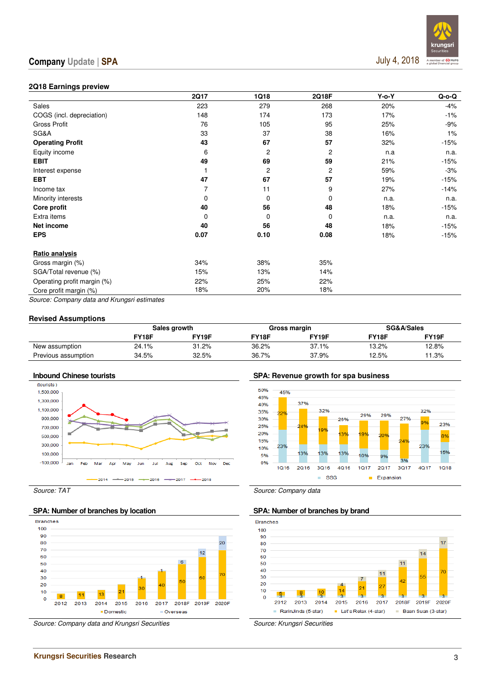

### **2Q18 Earnings preview**

|                             | <b>2Q17</b> | 1Q18     | 2Q18F | $Y$ -o- $Y$ | $Q$ -o- $Q$ |
|-----------------------------|-------------|----------|-------|-------------|-------------|
| Sales                       | 223         | 279      | 268   | 20%         | $-4%$       |
| COGS (incl. depreciation)   | 148         | 174      | 173   | 17%         | $-1%$       |
| Gross Profit                | 76          | 105      | 95    | 25%         | $-9%$       |
| SG&A                        | 33          | 37       | 38    | 16%         | 1%          |
| <b>Operating Profit</b>     | 43          | 67       | 57    | 32%         | $-15%$      |
| Equity income               | 6           | 2        | 2     | n.a         | n.a.        |
| <b>EBIT</b>                 | 49          | 69       | 59    | 21%         | -15%        |
| Interest expense            |             | 2        | 2     | 59%         | $-3%$       |
| <b>EBT</b>                  | 47          | 67       | 57    | 19%         | $-15%$      |
| Income tax                  | 7           | 11       | 9     | 27%         | -14%        |
| Minority interests          | 0           | 0        | 0     | n.a.        | n.a.        |
| Core profit                 | 40          | 56       | 48    | 18%         | $-15%$      |
| Extra items                 | 0           | $\Omega$ | 0     | n.a.        | n.a.        |
| Net income                  | 40          | 56       | 48    | 18%         | $-15%$      |
| <b>EPS</b>                  | 0.07        | 0.10     | 0.08  | 18%         | -15%        |
| Ratio analysis              |             |          |       |             |             |
| Gross margin (%)            | 34%         | 38%      | 35%   |             |             |
| SGA/Total revenue (%)       | 15%         | 13%      | 14%   |             |             |
| Operating profit margin (%) | 22%         | 25%      | 22%   |             |             |
| Core profit margin (%)      | 18%         | 20%      | 18%   |             |             |

Source: Company data and Krungsri estimates

### **Revised Assumptions**

|                     |       | Sales growth |       | Gross margin | SG&A/Sales |       |  |
|---------------------|-------|--------------|-------|--------------|------------|-------|--|
|                     | FY18F | FY19F        | FY18F | FY19F        | FY18F      | FY19F |  |
| New assumption      | 24.1% | 31.2%        | 36.2% | 37.1%        | 13.2%      | 12.8% |  |
| Previous assumption | 34.5% | 32.5%        | 36.7% | 37.9%        | 12.5%      | 11.3% |  |



### SPA: Number of branches by location **SPA: Number of branches by brand**



Source: Company data and Krungsri Securities Source: Krungsri Securities

**Inbound Chinese tourists SPA: Revenue growth for spa business** 



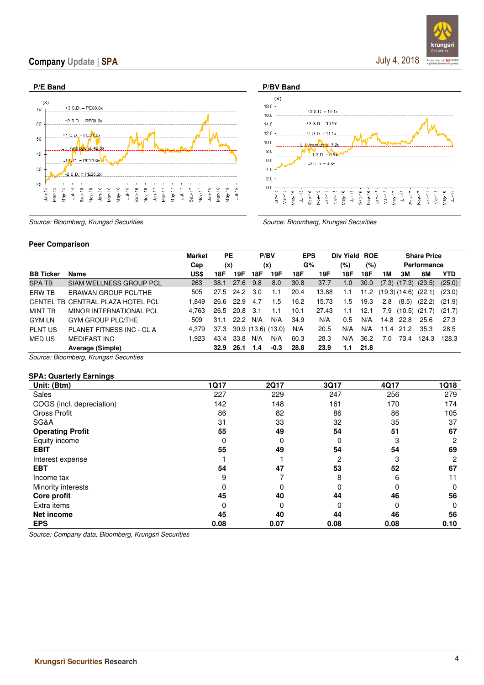



Source: Bloomberg, Krungsri Securities Source: Bloomberg, Krungsri Securities

### **Peer Comparison**

|                  |                                   | <b>Market</b> | РE        |      | P/BV               |        | <b>EPS</b> |       | Div Yield     | <b>ROE</b> |      |       | <b>Share Price</b>         |            |
|------------------|-----------------------------------|---------------|-----------|------|--------------------|--------|------------|-------|---------------|------------|------|-------|----------------------------|------------|
|                  |                                   | Cap           | (x)       |      | (x)                |        | G%         |       | (%)           | $(\%)$     |      |       | Performance                |            |
| <b>BB Ticker</b> | Name                              | US\$          | 18F       | 19F  | 18F                | 19F    | 18F        | 19F   | 18F           | 18F        | 1 M  | 3M    | 6M                         | <b>YTD</b> |
| <b>SPATB</b>     | SIAM WELLNESS GROUP PCL           | 263           | 38.1      | 27.6 | 9.8                | 8.0    | 30.8       | 37.7  | 1.0           | 30.0       |      |       | $(7.3)$ $(17.3)$ $(23.5)$  | (25.0)     |
| ERW TB           | ERAWAN GROUP PCL/THE              | 505           | 27.5 24.2 |      | 3.0                | 1.1    | 20.4       | 13.88 | 1.1           | 11.2       |      |       | $(19.3)$ $(14.6)$ $(22.1)$ | (23.0)     |
|                  | CENTEL TB CENTRAL PLAZA HOTEL PCL | 1.849         | 26.6 22.9 |      | 4.7                | 1.5    | 16.2       | 15.73 | 1.5           | 19.3       | 2.8  | (8.5) | (22.2)                     | (21.9)     |
| MINT TB          | MINOR INTERNATIONAL PCL           | 4.763         | 26.5 20.8 |      | -3.1               | 1.1    | 10.1       | 27.43 | 1.1           | 12.1       | 7.9  |       | $(10.5)$ $(21.7)$          | (21.7)     |
| <b>GYM LN</b>    | <b>GYM GROUP PLC/THE</b>          | 509           | 31.1      | 22.2 | N/A                | N/A    | 34.9       | N/A   | $0.5^{\circ}$ | N/A        | 14.8 | 22.8  | 25.6                       | 27.3       |
| <b>PLNT US</b>   | PLANET FITNESS INC - CL A         | 4.379         | 37.3      |      | 30.9 (13.6) (13.0) |        | N/A        | 20.5  | N/A           | N/A        | 11.4 | 21.2  | 35.3                       | 28.5       |
| MED US           | MEDIFAST INC                      | 1.923         | 43.4      | 33.8 | N/A                | N/A    | 60.3       | 28.3  | N/A           | 36.2       | 7.0  | 73.4  | 124.3                      | 128.3      |
|                  | Average (Simple)                  |               | 32.9      | 26.1 | 1.4                | $-0.3$ | 28.8       | 23.9  | 1.1           | 21.8       |      |       |                            |            |

Source: Bloomberg, Krungsri Securities

### **SPA: Quarterly Earnings**

| Unit: (Btm)               | <b>1Q17</b> | <b>2Q17</b> | 3Q17 | 4Q17 | <b>1Q18</b> |
|---------------------------|-------------|-------------|------|------|-------------|
| <b>Sales</b>              | 227         | 229         | 247  | 256  | 279         |
| COGS (incl. depreciation) | 142         | 148         | 161  | 170  | 174         |
| <b>Gross Profit</b>       | 86          | 82          | 86   | 86   | 105         |
| SG&A                      | 31          | 33          | 32   | 35   | 37          |
| <b>Operating Profit</b>   | 55          | 49          | 54   | 51   | 67          |
| Equity income             | $\Omega$    | $\Omega$    | 0    | З    | 2           |
| <b>EBIT</b>               | 55          | 49          | 54   | 54   | 69          |
| Interest expense          |             |             | 2    | З    | 2           |
| <b>EBT</b>                | 54          | 47          | 53   | 52   | 67          |
| Income tax                | 9           |             | 8    | 6    | 11          |
| Minority interests        | $\Omega$    | 0           | 0    | O    | $\Omega$    |
| Core profit               | 45          | 40          | 44   | 46   | 56          |
| Extra items               | 0           | $\Omega$    | 0    | 0    | 0           |
| Net income                | 45          | 40          | 44   | 46   | 56          |
| <b>EPS</b>                | 0.08        | 0.07        | 0.08 | 0.08 | 0.10        |

Source: Company data, Bloomberg, Krungsri Securities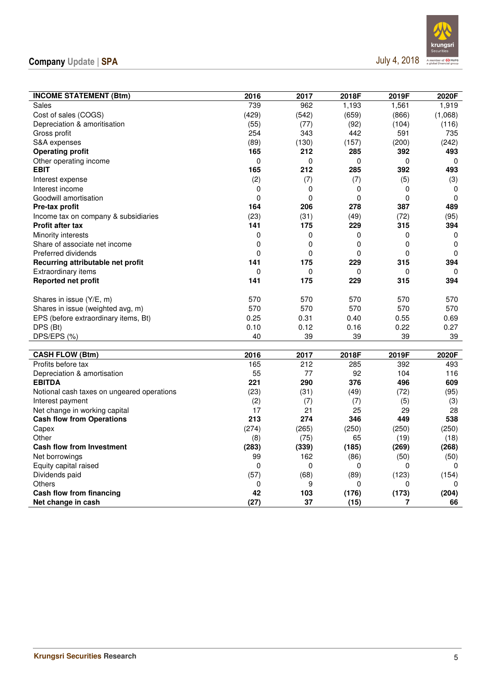

| <b>INCOME STATEMENT (Btm)</b>              | 2016        | 2017  | 2018F       | 2019F | 2020F       |
|--------------------------------------------|-------------|-------|-------------|-------|-------------|
| Sales                                      | 739         | 962   | 1,193       | 1,561 | 1,919       |
| Cost of sales (COGS)                       | (429)       | (542) | (659)       | (866) | (1,068)     |
| Depreciation & amoritisation               | (55)        | (77)  | (92)        | (104) | (116)       |
| Gross profit                               | 254         | 343   | 442         | 591   | 735         |
| S&A expenses                               | (89)        | (130) | (157)       | (200) | (242)       |
| <b>Operating profit</b>                    | 165         | 212   | 285         | 392   | 493         |
| Other operating income                     | 0           | 0     | 0           | 0     | 0           |
| <b>EBIT</b>                                | 165         | 212   | 285         | 392   | 493         |
| Interest expense                           | (2)         | (7)   | (7)         | (5)   | (3)         |
| Interest income                            | 0           | 0     | 0           | 0     | 0           |
| Goodwill amortisation                      | $\mathbf 0$ | 0     | $\mathbf 0$ | 0     | $\mathbf 0$ |
| Pre-tax profit                             | 164         | 206   | 278         | 387   | 489         |
| Income tax on company & subsidiaries       | (23)        | (31)  | (49)        | (72)  | (95)        |
| <b>Profit after tax</b>                    | 141         | 175   | 229         | 315   | 394         |
| Minority interests                         | $\mathbf 0$ | 0     | 0           | 0     | 0           |
| Share of associate net income              | $\mathbf 0$ | 0     | $\mathbf 0$ | 0     | $\mathbf 0$ |
| Preferred dividends                        | 0           | 0     | 0           | 0     | 0           |
| Recurring attributable net profit          | 141         | 175   | 229         | 315   | 394         |
| <b>Extraordinary items</b>                 | 0           | 0     | 0           | 0     | 0           |
| Reported net profit                        | 141         | 175   | 229         | 315   | 394         |
|                                            |             |       |             |       |             |
| Shares in issue (Y/E, m)                   | 570         | 570   | 570         | 570   | 570         |
| Shares in issue (weighted avg, m)          | 570         | 570   | 570         | 570   | 570         |
| EPS (before extraordinary items, Bt)       | 0.25        | 0.31  | 0.40        | 0.55  | 0.69        |
| DPS (Bt)                                   | 0.10        | 0.12  | 0.16        | 0.22  | 0.27        |
| DPS/EPS (%)                                | 40          | 39    | 39          | 39    | 39          |
|                                            |             |       |             |       |             |
| <b>CASH FLOW (Btm)</b>                     | 2016        | 2017  | 2018F       | 2019F | 2020F       |
| Profits before tax                         | 165         | 212   | 285         | 392   | 493         |
| Depreciation & amortisation                | 55          | 77    | 92          | 104   | 116         |
| <b>EBITDA</b>                              | 221         | 290   | 376         | 496   | 609         |
| Notional cash taxes on ungeared operations | (23)        | (31)  | (49)        | (72)  | (95)        |
| Interest payment                           | (2)         | (7)   | (7)         | (5)   | (3)         |
| Net change in working capital              | 17          | 21    | 25          | 29    | 28          |
| <b>Cash flow from Operations</b>           | 213         | 274   | 346         | 449   | 538         |
| Capex                                      | (274)       | (265) | (250)       | (250) | (250)       |
| Other                                      | (8)         | (75)  | 65          | (19)  | (18)        |
| <b>Cash flow from Investment</b>           | (283)       | (339) | (185)       | (269) | (268)       |
| Net borrowings                             | 99          | 162   | (86)        | (50)  | (50)        |
| Equity capital raised                      | 0           | 0     | 0           | 0     | $\Omega$    |
| Dividends paid                             | (57)        | (68)  | (89)        | (123) | (154)       |
| Others                                     | 0           | 9     | 0           | 0     | 0           |
| Cash flow from financing                   | 42          | 103   | (176)       | (173) | (204)       |
| Net change in cash                         | (27)        | 37    | (15)        | 7     | 66          |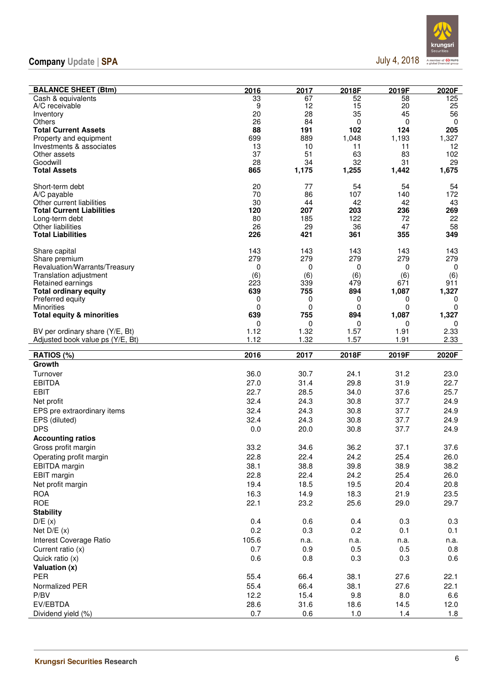

| <b>BALANCE SHEET (Btm)</b>                           | 2016      | 2017      | 2018F     | 2019F      | 2020F        |
|------------------------------------------------------|-----------|-----------|-----------|------------|--------------|
| Cash & equivalents                                   | 33        | 67        | 52        | 58         | 125          |
| A/C receivable                                       | 9         | 12        | 15        | 20         | 25           |
| Inventory<br>Others                                  | 20<br>26  | 28<br>84  | 35<br>0   | 45<br>0    | 56<br>0      |
| <b>Total Current Assets</b>                          | 88        | 191       | 102       | 124        | 205          |
| Property and equipment                               | 699       | 889       | 1,048     | 1,193      | 1,327        |
| Investments & associates                             | 13        | 10        | 11        | 11         | 12           |
| Other assets                                         | 37        | 51        | 63        | 83         | 102          |
| Goodwill                                             | 28        | 34        | 32        | 31         | 29           |
| <b>Total Assets</b>                                  | 865       | 1,175     | 1,255     | 1,442      | 1,675        |
| Short-term debt                                      | 20        | 77        | 54        | 54         | 54           |
| A/C payable                                          | 70        | 86        | 107       | 140        | 172          |
| Other current liabilities                            | 30        | 44        | 42        | 42         | 43           |
| <b>Total Current Liabilities</b>                     | 120       | 207       | 203       | 236        | 269          |
| Long-term debt                                       | 80        | 185       | 122       | 72         | 22           |
| <b>Other liabilities</b><br><b>Total Liabilities</b> | 26<br>226 | 29<br>421 | 36<br>361 | 47<br>355  | 58<br>349    |
|                                                      |           |           |           |            |              |
| Share capital                                        | 143       | 143       | 143       | 143        | 143          |
| Share premium                                        | 279       | 279       | 279       | 279        | 279          |
| Revaluation/Warrants/Treasury                        | 0         | 0         | 0         | 0          | 0            |
| Translation adjustment                               | (6)       | (6)       | (6)       | (6)        | (6)          |
| Retained earnings                                    | 223       | 339       | 479       | 671        | 911<br>1,327 |
| <b>Total ordinary equity</b><br>Preferred equity     | 639<br>0  | 755<br>0  | 894<br>0  | 1,087<br>0 | 0            |
| Minorities                                           | 0         | 0         | 0         | 0          | 0            |
| <b>Total equity &amp; minorities</b>                 | 639       | 755       | 894       | 1,087      | 1,327        |
|                                                      | 0         | 0         | 0         | 0          | 0            |
| BV per ordinary share (Y/E, Bt)                      | 1.12      | 1.32      | 1.57      | 1.91       | 2.33         |
| Adjusted book value ps (Y/E, Bt)                     | 1.12      | 1.32      | 1.57      | 1.91       | 2.33         |
| RATIOS (%)                                           | 2016      | 2017      | 2018F     | 2019F      | 2020F        |
| Growth                                               |           |           |           |            |              |
| Turnover                                             | 36.0      | 30.7      | 24.1      | 31.2       | 23.0         |
| <b>EBITDA</b>                                        | 27.0      | 31.4      | 29.8      | 31.9       | 22.7         |
| <b>EBIT</b>                                          | 22.7      | 28.5      | 34.0      | 37.6       | 25.7         |
| Net profit                                           | 32.4      | 24.3      | 30.8      | 37.7       | 24.9         |
| EPS pre extraordinary items                          | 32.4      | 24.3      | 30.8      | 37.7       | 24.9         |
| EPS (diluted)                                        | 32.4      | 24.3      | 30.8      | 37.7       | 24.9         |
| <b>DPS</b>                                           | 0.0       | 20.0      | 30.8      | 37.7       | 24.9         |
| <b>Accounting ratios</b>                             |           |           |           |            |              |
| Gross profit margin                                  | 33.2      | 34.6      | 36.2      | 37.1       | 37.6         |
| Operating profit margin                              | 22.8      | 22.4      | 24.2      | 25.4       | 26.0         |
| <b>EBITDA</b> margin                                 | 38.1      | 38.8      | 39.8      | 38.9       | 38.2         |
| <b>EBIT</b> margin                                   | 22.8      | 22.4      | 24.2      | 25.4       | 26.0         |
| Net profit margin                                    | 19.4      | 18.5      | 19.5      | 20.4       | 20.8         |
| <b>ROA</b>                                           | 16.3      | 14.9      | 18.3      | 21.9       | 23.5         |
| <b>ROE</b>                                           | 22.1      | 23.2      | 25.6      | 29.0       | 29.7         |
| <b>Stability</b>                                     |           |           |           |            |              |
| D/E(x)                                               | 0.4       | 0.6       | 0.4       | 0.3        | 0.3          |
| Net $D/E(x)$                                         | 0.2       | 0.3       | 0.2       | 0.1        | 0.1          |
| Interest Coverage Ratio                              | 105.6     | n.a.      | n.a.      | n.a.       | n.a.         |
| Current ratio (x)                                    | 0.7       | 0.9       | 0.5       | 0.5        | 0.8          |
| Quick ratio (x)                                      | 0.6       | 0.8       | 0.3       | 0.3        | 0.6          |
| Valuation (x)                                        |           |           |           |            |              |
| <b>PER</b>                                           | 55.4      | 66.4      | 38.1      | 27.6       | 22.1         |
| Normalized PER                                       | 55.4      | 66.4      | 38.1      | 27.6       | 22.1         |
| P/BV                                                 | 12.2      | 15.4      | 9.8       | 8.0        | 6.6          |
| EV/EBTDA                                             | 28.6      | 31.6      | 18.6      | 14.5       | 12.0         |
| Dividend yield (%)                                   | 0.7       | 0.6       | 1.0       | 1.4        | 1.8          |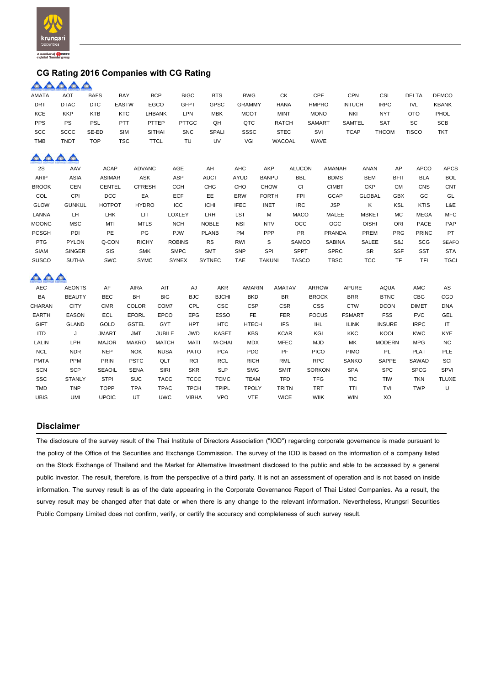

### **CG Rating 2016 Companies with CG Rating**

|              | AAAAA         |               |               |               |               |               |               |               |               |               |               |               |               |              |              |
|--------------|---------------|---------------|---------------|---------------|---------------|---------------|---------------|---------------|---------------|---------------|---------------|---------------|---------------|--------------|--------------|
| <b>AMATA</b> | <b>AOT</b>    | <b>BAFS</b>   | BAY           | <b>BCP</b>    | <b>BIGC</b>   | <b>BTS</b>    | <b>BWG</b>    |               | СK            | CPF           | <b>CPN</b>    |               | CSL           | <b>DELTA</b> | <b>DEMCO</b> |
| DRT          | <b>DTAC</b>   | <b>DTC</b>    | <b>EASTW</b>  | EGCO          | <b>GFPT</b>   | <b>GPSC</b>   | <b>GRAMMY</b> |               | <b>HANA</b>   | <b>HMPRO</b>  | <b>INTUCH</b> |               | <b>IRPC</b>   | <b>IVL</b>   | <b>KBANK</b> |
| KCE          | <b>KKP</b>    | <b>KTB</b>    | <b>KTC</b>    | <b>LHBANK</b> | LPN           | <b>MBK</b>    | <b>MCOT</b>   |               | <b>MINT</b>   | <b>MONO</b>   | NKI           |               | <b>NYT</b>    | <b>OTO</b>   | PHOL         |
| PPS          | PS            | <b>PSL</b>    | <b>PTT</b>    | PTTEP         | <b>PTTGC</b>  | QH            | QTC           |               | <b>RATCH</b>  | SAMART        | SAMTEL        |               | SAT           | SC           | <b>SCB</b>   |
| SCC          | <b>SCCC</b>   | SE-ED         | SIM           | <b>SITHAI</b> | <b>SNC</b>    | SPALI         | <b>SSSC</b>   |               | <b>STEC</b>   | SVI           | <b>TCAP</b>   |               | <b>THCOM</b>  | <b>TISCO</b> | <b>TKT</b>   |
| <b>TMB</b>   | <b>TNDT</b>   | <b>TOP</b>    | <b>TSC</b>    | <b>TTCL</b>   | TU            | UV            | VGI           |               | WACOAL        | WAVE          |               |               |               |              |              |
| $\triangle$  | O.            |               |               |               |               |               |               |               |               |               |               |               |               |              |              |
| 2S           | AAV           | <b>ACAP</b>   | <b>ADVANC</b> |               | AGE           | AH            | <b>AHC</b>    | AKP           | <b>ALUCON</b> |               | AMANAH        | ANAN          | AP            | <b>APCO</b>  | <b>APCS</b>  |
| ARIP         | <b>ASIA</b>   | <b>ASIMAR</b> | ASK           |               | <b>ASP</b>    | <b>AUCT</b>   | AYUD          | <b>BANPU</b>  | <b>BBL</b>    |               | <b>BDMS</b>   | <b>BEM</b>    | <b>BFIT</b>   | <b>BLA</b>   | <b>BOL</b>   |
| <b>BROOK</b> | <b>CEN</b>    | <b>CENTEL</b> | <b>CFRESH</b> |               | <b>CGH</b>    | <b>CHG</b>    | CHO           | <b>CHOW</b>   | <b>CI</b>     |               | <b>CIMBT</b>  | <b>CKP</b>    | <b>CM</b>     | CNS          | CNT          |
| COL          | CPI           | DCC           | EA            |               | ECF           | EE            | ERW           | <b>FORTH</b>  | FPI           |               | GCAP          | <b>GLOBAL</b> | <b>GBX</b>    | GC           | GL           |
| <b>GLOW</b>  | <b>GUNKUL</b> | <b>HOTPOT</b> | <b>HYDRO</b>  |               | ICC           | <b>ICHI</b>   | <b>IFEC</b>   | <b>INET</b>   | <b>IRC</b>    |               | <b>JSP</b>    | Κ             | KSL           | <b>KTIS</b>  | L&E          |
| LANNA        | LH.           | LHK           | LIT.          |               | <b>LOXLEY</b> | LRH           | LST           | M             | <b>MACO</b>   |               | MALEE         | <b>MBKET</b>  | MC            | <b>MEGA</b>  | <b>MFC</b>   |
| <b>MOONG</b> | <b>MSC</b>    | MTI           | <b>MTLS</b>   |               | <b>NCH</b>    | <b>NOBLE</b>  | <b>NSI</b>    | <b>NTV</b>    | OCC           |               | OGC           | <b>OISHI</b>  | ORI           | <b>PACE</b>  | PAP          |
| <b>PCSGH</b> | PDI           | PE            | PG            |               | PJW           | <b>PLANB</b>  | PM            | PPP           | PR            |               | <b>PRANDA</b> | PREM          | PRG           | <b>PRINC</b> | PT           |
| <b>PTG</b>   | <b>PYLON</b>  | Q-CON         | <b>RICHY</b>  |               | <b>ROBINS</b> | <b>RS</b>     | RWI           | S             | SAMCO         |               | <b>SABINA</b> | <b>SALEE</b>  | S&J           | <b>SCG</b>   | <b>SEAFO</b> |
| <b>SIAM</b>  | <b>SINGER</b> | SIS           | <b>SMK</b>    |               | <b>SMPC</b>   | <b>SMT</b>    | <b>SNP</b>    | SPI           | <b>SPPT</b>   |               | <b>SPRC</b>   | SR            | <b>SSF</b>    | <b>SST</b>   | <b>STA</b>   |
| <b>SUSCO</b> | <b>SUTHA</b>  | SWC           | <b>SYMC</b>   |               | <b>SYNEX</b>  | <b>SYTNEC</b> | <b>TAE</b>    | <b>TAKUNI</b> | <b>TASCO</b>  |               | <b>TBSC</b>   | <b>TCC</b>    | TF            | TFI          | <b>TGCI</b>  |
| Q O          |               |               |               |               |               |               |               |               |               |               |               |               |               |              |              |
| <b>AEC</b>   | <b>AEONTS</b> | AF            | AIRA          | AIT           | AJ            | <b>AKR</b>    | <b>AMARIN</b> |               | <b>AMATAV</b> | <b>ARROW</b>  | <b>APURE</b>  |               | <b>AQUA</b>   | <b>AMC</b>   | AS           |
| BA           | <b>BEAUTY</b> | <b>BEC</b>    | BH            | <b>BIG</b>    | <b>BJC</b>    | <b>BJCHI</b>  | <b>BKD</b>    |               | <b>BR</b>     | <b>BROCK</b>  | <b>BRR</b>    |               | <b>BTNC</b>   | CBG          | CGD          |
| CHARAN       | <b>CITY</b>   | <b>CMR</b>    | <b>COLOR</b>  | COM7          | CPL           | <b>CSC</b>    | <b>CSP</b>    |               | <b>CSR</b>    | <b>CSS</b>    | <b>CTW</b>    |               | <b>DCON</b>   | <b>DIMET</b> | <b>DNA</b>   |
| EARTH        | EASON         | <b>ECL</b>    | EFORL         | <b>EPCO</b>   | EPG           | <b>ESSO</b>   | FE.           |               | <b>FER</b>    | <b>FOCUS</b>  | <b>FSMART</b> |               | <b>FSS</b>    | <b>FVC</b>   | <b>GEL</b>   |
| <b>GIFT</b>  | <b>GLAND</b>  | GOLD          | <b>GSTEL</b>  | GYT           | <b>HPT</b>    | <b>HTC</b>    | <b>HTECH</b>  |               | <b>IFS</b>    | <b>IHL</b>    | <b>ILINK</b>  |               | <b>INSURE</b> | <b>IRPC</b>  | IT           |
| <b>ITD</b>   | J             | <b>JMART</b>  | <b>JMT</b>    | <b>JUBILE</b> | <b>JWD</b>    | <b>KASET</b>  | <b>KBS</b>    |               | <b>KCAR</b>   | KGI           | <b>KKC</b>    |               | KOOL          | <b>KWC</b>   | <b>KYE</b>   |
| LALIN        | LPH           | <b>MAJOR</b>  | <b>MAKRO</b>  | <b>MATCH</b>  | <b>MATI</b>   | M-CHAI        | <b>MDX</b>    |               | <b>MFEC</b>   | <b>MJD</b>    | MK            |               | <b>MODERN</b> | <b>MPG</b>   | <b>NC</b>    |
| <b>NCL</b>   | <b>NDR</b>    | <b>NEP</b>    | <b>NOK</b>    | <b>NUSA</b>   | PATO          | <b>PCA</b>    | <b>PDG</b>    |               | PF            | <b>PICO</b>   | <b>PIMO</b>   |               | PL            | <b>PLAT</b>  | PLE          |
| <b>PMTA</b>  | PPM           | PRIN          | <b>PSTC</b>   | QLT           | RCI           | <b>RCL</b>    | <b>RICH</b>   |               | <b>RML</b>    | <b>RPC</b>    | <b>SANKO</b>  |               | SAPPE         | SAWAD        | SCI          |
| SCN          | <b>SCP</b>    | <b>SEAOIL</b> | <b>SENA</b>   | SIRI          | <b>SKR</b>    | <b>SLP</b>    | <b>SMG</b>    |               | <b>SMIT</b>   | <b>SORKON</b> | <b>SPA</b>    |               | <b>SPC</b>    | <b>SPCG</b>  | SPVI         |
| <b>SSC</b>   | <b>STANLY</b> | <b>STPI</b>   | <b>SUC</b>    | <b>TACC</b>   | <b>TCCC</b>   | <b>TCMC</b>   | <b>TEAM</b>   |               | <b>TFD</b>    | <b>TFG</b>    | <b>TIC</b>    |               | <b>TIW</b>    | <b>TKN</b>   | <b>TLUXE</b> |
| TMD          | <b>TNP</b>    | <b>TOPP</b>   | <b>TPA</b>    | <b>TPAC</b>   | <b>TPCH</b>   | <b>TPIPL</b>  | <b>TPOLY</b>  |               | <b>TRITN</b>  | <b>TRT</b>    | <b>TTI</b>    |               | TVI           | <b>TWP</b>   | U            |
| <b>UBIS</b>  | UMI           | <b>UPOIC</b>  | UT            | <b>UWC</b>    | <b>VIBHA</b>  | <b>VPO</b>    | <b>VTE</b>    |               | <b>WICE</b>   | <b>WIIK</b>   | <b>WIN</b>    |               | XO            |              |              |

### **Disclaimer**

The disclosure of the survey result of the Thai Institute of Directors Association ("IOD") regarding corporate governance is made pursuant to the policy of the Office of the Securities and Exchange Commission. The survey of the IOD is based on the information of a company listed on the Stock Exchange of Thailand and the Market for Alternative Investment disclosed to the public and able to be accessed by a general public investor. The result, therefore, is from the perspective of a third party. It is not an assessment of operation and is not based on inside information. The survey result is as of the date appearing in the Corporate Governance Report of Thai Listed Companies. As a result, the survey result may be changed after that date or when there is any change to the relevant information. Nevertheless, Krungsri Securities Public Company Limited does not confirm, verify, or certify the accuracy and completeness of such survey result.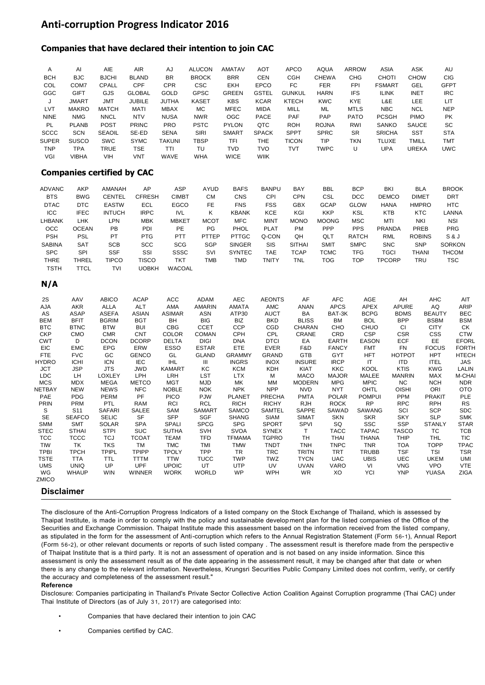### **Anti-corruption Progress Indicator 2016**

### **Companies that have declared their intention to join CAC**

| A            | AI           | AIE           | <b>AIR</b>    | AJ           | <b>ALUCON</b> | <b>AMATAV</b> | <b>AOT</b>   | <b>APCO</b>   | <b>AQUA</b>  | <b>ARROW</b> | ASIA          | ASK          | AU          |
|--------------|--------------|---------------|---------------|--------------|---------------|---------------|--------------|---------------|--------------|--------------|---------------|--------------|-------------|
| <b>BCH</b>   | <b>BJC</b>   | <b>BJCHI</b>  | <b>BLAND</b>  | <b>BR</b>    | <b>BROCK</b>  | <b>BRR</b>    | CEN          | CGH           | <b>CHEWA</b> | CHG          | <b>CHOTI</b>  | <b>CHOW</b>  | CIG.        |
| COL          | COM7         | CPALL         | CPF           | <b>CPR</b>   | <b>CSC</b>    | EKH           | <b>EPCO</b>  | FC            | <b>FER</b>   | <b>FPI</b>   | <b>FSMART</b> | GEL          | <b>GFPT</b> |
| GGC          | <b>GIFT</b>  | <b>GJS</b>    | <b>GLOBAL</b> | <b>GOLD</b>  | <b>GPSC</b>   | <b>GREEN</b>  | <b>GSTEL</b> | <b>GUNKUL</b> | <b>HARN</b>  | <b>IFS</b>   | <b>ILINK</b>  | <b>INET</b>  | <b>IRC</b>  |
| J            | <b>JMART</b> | JMT           | <b>JUBILE</b> | <b>JUTHA</b> | <b>KASET</b>  | <b>KBS</b>    | <b>KCAR</b>  | <b>KTECH</b>  | <b>KWC</b>   | <b>KYE</b>   | L&E           | LEE          | LIT         |
| <b>LVT</b>   | <b>MAKRO</b> | <b>MATCH</b>  | <b>MATI</b>   | <b>MBAX</b>  | MC.           | <b>MFEC</b>   | <b>MIDA</b>  | MILL          | ML           | <b>MTLS</b>  | <b>NBC</b>    | <b>NCL</b>   | <b>NEP</b>  |
| <b>NINE</b>  | <b>NMG</b>   | <b>NNCL</b>   | <b>NTV</b>    | <b>NUSA</b>  | <b>NWR</b>    | <b>OGC</b>    | <b>PACE</b>  | <b>PAF</b>    | <b>PAP</b>   | <b>PATO</b>  | <b>PCSGH</b>  | <b>PIMO</b>  | <b>PK</b>   |
| <b>PL</b>    | <b>PLANB</b> | <b>POST</b>   | <b>PRINC</b>  | <b>PRO</b>   | <b>PSTC</b>   | <b>PYLON</b>  | QTC          | <b>ROH</b>    | <b>ROJNA</b> | <b>RWI</b>   | <b>SANKO</b>  | <b>SAUCE</b> | SC.         |
| <b>SCCC</b>  | <b>SCN</b>   | <b>SEAOIL</b> | SE-ED         | <b>SENA</b>  | <b>SIRI</b>   | <b>SMART</b>  | <b>SPACK</b> | <b>SPPT</b>   | <b>SPRC</b>  | <b>SR</b>    | <b>SRICHA</b> | SST          | <b>STA</b>  |
| <b>SUPER</b> | <b>SUSCO</b> | <b>SWC</b>    | <b>SYMC</b>   | TAKUNI       | <b>TBSP</b>   | TFI           | <b>THE</b>   | <b>TICON</b>  | <b>TIP</b>   | TKN          | <b>TLUXE</b>  | <b>TMILL</b> | <b>TMT</b>  |
| <b>TNP</b>   | TPA          | <b>TRUE</b>   | TSE           | TTI          | TU            | TVD           | <b>TVO</b>   | TVT           | TWPC         | U            | UPA           | <b>UREKA</b> | <b>UWC</b>  |
| VGI          | <b>VIBHA</b> | VIH           | <b>VNT</b>    | <b>WAVE</b>  | <b>WHA</b>    | <b>WICE</b>   | <b>WIIK</b>  |               |              |              |               |              |             |

### **Companies certified by CAC**

| <b>ADVANC</b> | AKP          | AMANAH        | AP            | ASP           | <b>AYUD</b> | <b>BAFS</b>   | <b>BANPU</b> | <b>BAY</b>    | <b>BBL</b>   | <b>BCP</b>   | <b>BKI</b>    | <b>BLA</b>        | <b>BROOK</b>  |
|---------------|--------------|---------------|---------------|---------------|-------------|---------------|--------------|---------------|--------------|--------------|---------------|-------------------|---------------|
| <b>BTS</b>    | <b>BWG</b>   | CENTEL        | <b>CFRESH</b> | <b>CIMBT</b>  | СM          | <b>CNS</b>    | CPI          | <b>CPN</b>    | CSL          | <b>DCC</b>   | <b>DEMCO</b>  | DIME <sub>1</sub> | <b>DRT</b>    |
| <b>DTAC</b>   | <b>DTC</b>   | <b>EASTW</b>  | ECL           | <b>EGCO</b>   | FE.         | <b>FNS</b>    | <b>FSS</b>   | <b>GBX</b>    | <b>GCAP</b>  | <b>GLOW</b>  | <b>HANA</b>   | <b>HMPRO</b>      | HTC           |
| <b>ICC</b>    | <b>IFEC</b>  | <b>INTUCH</b> | <b>IRPC</b>   | <b>IVL</b>    | Κ           | <b>KBANK</b>  | KCE          | KGI           | <b>KKP</b>   | KSL          | <b>KTB</b>    | KTC               | LANNA         |
| LHBANK        | LHK          | LPN           | <b>MBK</b>    | <b>MBKET</b>  | <b>MCOT</b> | MFC           | <b>MINT</b>  | <b>MONO</b>   | <b>MOONG</b> | MSC          | MTI           | <b>NKI</b>        | <b>NSI</b>    |
| осс           | <b>OCEAN</b> | PB            | <b>PDI</b>    | PE            | PG          | <b>PHOL</b>   | <b>PLAT</b>  | <b>PM</b>     | PPP          | <b>PPS</b>   | <b>PRANDA</b> | <b>PREB</b>       | <b>PRG</b>    |
| <b>PSH</b>    | <b>PSL</b>   | PT            | <b>PTG</b>    | <b>PTT</b>    | PTTEP       | <b>PTTGC</b>  | Q-CON        | QH            | QLT          | <b>RATCH</b> | <b>RML</b>    | <b>ROBINS</b>     | S & J         |
| <b>SABINA</b> | <b>SAT</b>   | <b>SCB</b>    | <b>SCC</b>    | <b>SCG</b>    | <b>SGP</b>  | <b>SINGER</b> | SIS          | <b>SITHAI</b> | <b>SMIT</b>  | <b>SMPC</b>  | <b>SNC</b>    | <b>SNP</b>        | <b>SORKON</b> |
| <b>SPC</b>    | <b>SPI</b>   | <b>SSF</b>    | SSI           | SSSC          | <b>SVI</b>  | <b>SYNTEC</b> | TAE          | TCAP          | тсмс         | <b>TFG</b>   | TGCI          | <b>THANI</b>      | <b>THCOM</b>  |
| <b>THRE</b>   | THREL        | TIPCO         | TISCO         | TKT           | <b>TMB</b>  | TMD           | TNITY        | <b>TNL</b>    | <b>TOG</b>   | <b>TOP</b>   | TPCORP        | TRU               | TSC           |
| <b>TSTH</b>   | TTCL         | <b>TVI</b>    | UOBKH         | <b>WACOAL</b> |             |               |              |               |              |              |               |                   |               |

#### **N/A**

| 2S           | AAV             | <b>ABICO</b>  | <b>ACAP</b>   | <b>ACC</b>    | <b>ADAM</b>   | <b>AEC</b>    | <b>AEONTS</b> | AF            | <b>AFC</b>   | AGE           | AH            | <b>AHC</b>    | AIT          |
|--------------|-----------------|---------------|---------------|---------------|---------------|---------------|---------------|---------------|--------------|---------------|---------------|---------------|--------------|
| AJA          | AKR             | ALLA          | <b>ALT</b>    | AMA           | AMARIN        | AMATA         | AMC           | ANAN          | <b>APCS</b>  | <b>APEX</b>   | APURE         | AQ            | <b>ARIP</b>  |
| AS           | ASAP            | ASEFA         | ASIAN         | <b>ASIMAR</b> | ASN           | ATP30         | AUCT          | BA            | BAT-3K       | <b>BCPG</b>   | <b>BDMS</b>   | <b>BEAUTY</b> | <b>BEC</b>   |
| <b>BEM</b>   | <b>BFIT</b>     | <b>BGRIM</b>  | <b>BGT</b>    | BH.           | <b>BIG</b>    | BIZ           | <b>BKD</b>    | <b>BLISS</b>  | <b>BM</b>    | <b>BOL</b>    | <b>BPP</b>    | <b>BSBM</b>   | <b>BSM</b>   |
| <b>BTC</b>   | <b>BTNC</b>     | <b>BTW</b>    | <b>BUI</b>    | <b>CBG</b>    | <b>CCET</b>   | <b>CCP</b>    | CGD           | <b>CHARAN</b> | <b>CHO</b>   | <b>CHUO</b>   | CI            | <b>CITY</b>   | CK           |
| <b>CKP</b>   | <b>CMO</b>      | <b>CMR</b>    | <b>CNT</b>    | <b>COLOR</b>  | <b>COMAN</b>  | <b>CPH</b>    | <b>CPL</b>    | CRANE         | CRD          | <b>CSP</b>    | <b>CSR</b>    | <b>CSS</b>    | <b>CTW</b>   |
| <b>CWT</b>   | D               | <b>DCON</b>   | <b>DCORP</b>  | <b>DELTA</b>  | DIGI          | <b>DNA</b>    | <b>DTCI</b>   | EA            | <b>EARTH</b> | <b>EASON</b>  | <b>ECF</b>    | <b>EE</b>     | <b>EFORL</b> |
| EIC          | <b>EMC</b>      | <b>EPG</b>    | ERW           | ESSO          | <b>ESTAR</b>  | <b>ETE</b>    | EVER          | F&D           | <b>FANCY</b> | <b>FMT</b>    | FN            | <b>FOCUS</b>  | <b>FORTH</b> |
| <b>FTE</b>   | <b>FVC</b>      | GC            | <b>GENCO</b>  | GL            | <b>GLAND</b>  | <b>GRAMMY</b> | <b>GRAND</b>  | <b>GTB</b>    | <b>GYT</b>   | <b>HFT</b>    | <b>HOTPOT</b> | <b>HPT</b>    | <b>HTECH</b> |
| <b>HYDRO</b> | <b>ICHI</b>     | <b>ICN</b>    | <b>IEC</b>    | <b>IHL</b>    | Ш             | <b>INGRS</b>  | <b>INOX</b>   | <b>INSURE</b> | <b>IRCP</b>  | IT            | <b>ITD</b>    | <b>ITEL</b>   | JAS          |
| <b>JCT</b>   | <b>JSP</b>      | <b>JTS</b>    | <b>JWD</b>    | <b>KAMART</b> | KC            | <b>KCM</b>    | KDH           | KIAT          | <b>KKC</b>   | KOOL          | <b>KTIS</b>   | <b>KWG</b>    | LALIN        |
| <b>LDC</b>   | LH              | <b>LOXLEY</b> | LPH           | LRH           | <b>LST</b>    | <b>LTX</b>    | м             | <b>MACO</b>   | <b>MAJOR</b> | MALEE         | <b>MANRIN</b> | MAX           | M-CHA        |
| <b>MCS</b>   | <b>MDX</b>      | <b>MEGA</b>   | <b>METCO</b>  | <b>MGT</b>    | <b>MJD</b>    | МK            | МM            | <b>MODERN</b> | <b>MPG</b>   | <b>MPIC</b>   | <b>NC</b>     | <b>NCH</b>    | <b>NDR</b>   |
| NETBAY       | <b>NEW</b>      | <b>NEWS</b>   | <b>NFC</b>    | <b>NOBLE</b>  | <b>NOK</b>    | <b>NPK</b>    | <b>NPP</b>    | NVD           | <b>NYT</b>   | OHTL          | <b>OISHI</b>  | ORI           | <b>OTO</b>   |
| PAE          | <b>PDG</b>      | PERM          | <b>PF</b>     | <b>PICO</b>   | <b>PJW</b>    | <b>PLANET</b> | PRECHA        | <b>PMTA</b>   | <b>POLAR</b> | <b>POMPUI</b> | <b>PPM</b>    | <b>PRAKIT</b> | <b>PLE</b>   |
| <b>PRIN</b>  | <b>PRM</b>      | <b>PTL</b>    | <b>RAM</b>    | RCI           | <b>RCL</b>    | <b>RICH</b>   | <b>RICHY</b>  | <b>RJH</b>    | <b>ROCK</b>  | <b>RP</b>     | <b>RPC</b>    | <b>RPH</b>    | <b>RS</b>    |
| S            | S <sub>11</sub> | <b>SAFARI</b> | SALEE         | SAM           | <b>SAMART</b> | <b>SAMCO</b>  | SAMTEL        | SAPPE         | SAWAD        | SAWANG        | SCI           | <b>SCP</b>    | <b>SDC</b>   |
| <b>SE</b>    | <b>SEAFCO</b>   | <b>SELIC</b>  | SF            | <b>SFP</b>    | <b>SGF</b>    | <b>SHANG</b>  | SIAM          | SIMAT         | <b>SKN</b>   | <b>SKR</b>    | <b>SKY</b>    | <b>SLP</b>    | <b>SMK</b>   |
| <b>SMM</b>   | <b>SMT</b>      | <b>SOLAR</b>  | <b>SPA</b>    | <b>SPALI</b>  | <b>SPCG</b>   | <b>SPG</b>    | <b>SPORT</b>  | SPVI          | SQ           | <b>SSC</b>    | <b>SSP</b>    | <b>STANLY</b> | <b>STAR</b>  |
| <b>STEC</b>  | <b>STHAI</b>    | <b>STPI</b>   | <b>SUC</b>    | <b>SUTHA</b>  | SVH           | <b>SVOA</b>   | <b>SYNEX</b>  | $\mathsf{T}$  | <b>TACC</b>  | <b>TAPAC</b>  | <b>TASCO</b>  | TC            | <b>TCB</b>   |
| <b>TCC</b>   | <b>TCCC</b>     | TCJ           | <b>TCOAT</b>  | TEAM          | TFD           | <b>TFMAMA</b> | <b>TGPRO</b>  | <b>TH</b>     | <b>THAI</b>  | <b>THANA</b>  | THIP          | THL           | <b>TIC</b>   |
| <b>TIW</b>   | TK              | TKS           | <b>TM</b>     | <b>TMC</b>    | <b>TMI</b>    | <b>TMW</b>    | TNDT          | <b>TNH</b>    | <b>TNPC</b>  | <b>TNR</b>    | <b>TOA</b>    | TOPP          | <b>TPAC</b>  |
| <b>TPBI</b>  | <b>TPCH</b>     | TPIPL         | <b>TPIPP</b>  | <b>TPOLY</b>  | <b>TPP</b>    | <b>TR</b>     | <b>TRC</b>    | <b>TRITN</b>  | <b>TRT</b>   | <b>TRUBB</b>  | <b>TSF</b>    | <b>TSI</b>    | <b>TSR</b>   |
| <b>TSTE</b>  | <b>TTA</b>      | <b>TTL</b>    | <b>TTTM</b>   | <b>TTW</b>    | <b>TUCC</b>   | <b>TWP</b>    | TWZ           | <b>TYCN</b>   | <b>UAC</b>   | <b>UBIS</b>   | <b>UEC</b>    | <b>UKEM</b>   | UMI          |
| <b>UMS</b>   | <b>UNIQ</b>     | UP            | <b>UPF</b>    | <b>UPOIC</b>  | UT            | <b>UTP</b>    | UV            | <b>UVAN</b>   | <b>VARO</b>  | VI            | <b>VNG</b>    | <b>VPO</b>    | <b>VTE</b>   |
| <b>WG</b>    | <b>WHAUP</b>    | <b>WIN</b>    | <b>WINNER</b> | <b>WORK</b>   | <b>WORLD</b>  | <b>WP</b>     | <b>WPH</b>    | <b>WR</b>     | XO           | YCI           | <b>YNP</b>    | <b>YUASA</b>  | <b>ZIGA</b>  |
| ZMICO        |                 |               |               |               |               |               |               |               |              |               |               |               |              |
|              |                 |               |               |               |               |               |               |               |              |               |               |               |              |

### **Disclaimer**

The disclosure of the Anti-Corruption Progress Indicators of a listed company on the Stock Exchange of Thailand, which is assessed by Thaipat Institute, is made in order to comply with the policy and sustainable development plan for the listed companies of the Office of the Securities and Exchange Commission. Thaipat Institute made this assessment based on the information received from the listed company, as stipulated in the form for the assessment of Anti-corruption which refers to the Annual Registration Statement (Form 56-1), Annual Report (Form 56-2), or other relevant documents or reports of such listed company . The assessment result is therefore made from the perspective of Thaipat Institute that is a third party. It is not an assessment of operation and is not based on any inside information. Since this assessment is only the assessment result as of the date appearing in the assessment result, it may be changed after that date or when there is any change to the relevant information. Nevertheless, Krungsri Securities Public Company Limited does not confirm, verify, or certify the accuracy and completeness of the assessment result."

### **Reference**

Disclosure: Companies participating in Thailand's Private Sector Collective Action Coalition Against Corruption programme (Thai CAC) under Thai Institute of Directors (as of July 31, 2017) are categorised into:

- Companies that have declared their intention to join CAC
- Companies certified by CAC.